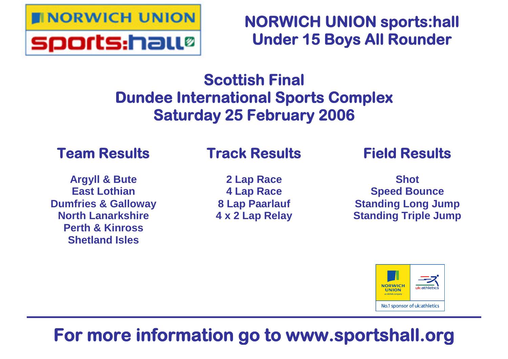

**NORWICH UNION sports:hall Under 15 Boys All Rounder**

## **Scottish Final Dundee International Sports Complex Saturday 25 February 2006**

### **Team Results**

### **Track Results**

**Argyll & Bute East Lothian Dumfries & Galloway North Lanarkshire Perth & Kinross Shetland Isles**

**2 Lap Race 4 Lap Race 8 Lap Paarlauf 4 x 2 Lap Relay** **Field Results**

**Shot Speed Bounce Standing Long Jump Standing Triple Jump**



## **For more information go to www.sportshall.org**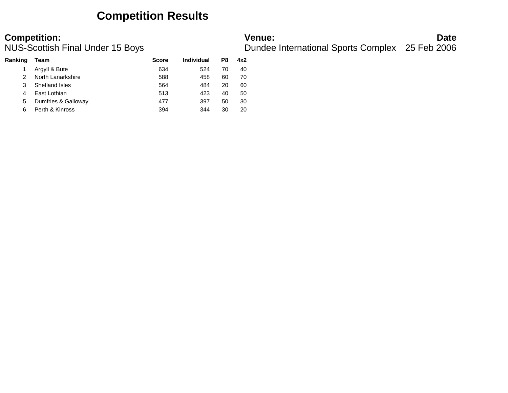### **Competition Results**

| Ranking | Team                  | <b>Score</b> | Individual | P8 | 4x2 |
|---------|-----------------------|--------------|------------|----|-----|
|         | Argyll & Bute         | 634          | 524        | 70 | 40  |
|         | North Lanarkshire     | 588          | 458        | 60 | 70  |
|         | <b>Shetland Isles</b> | 564          | 484        | 20 | 60  |
| 4       | East Lothian          | 513          | 423        | 40 | 50  |
| 5       | Dumfries & Galloway   | 477          | 397        | 50 | 30  |
| 6       | Perth & Kinross       | 394          | 344        | 30 | 20  |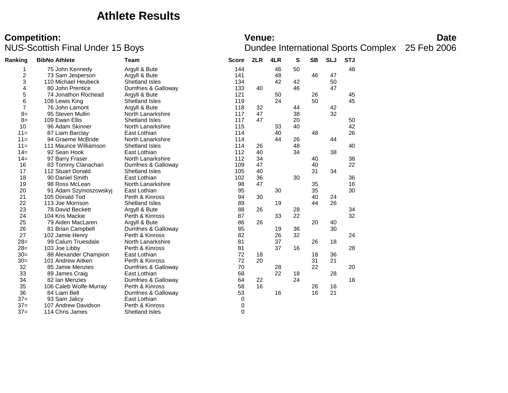### **Athlete Results**

# **Competition:**<br>**Date**<br>Dundee International Sports Complex 25 Feb 2006<br>Dundee International Sports Complex 25 Feb 2006

| Ranking<br><b>BibNo Athlete</b><br>Team |                       | <b>Score</b>                                                                             | 2LR | 4LR | s  | SB | <b>SLJ</b> | <b>STJ</b> |          |
|-----------------------------------------|-----------------------|------------------------------------------------------------------------------------------|-----|-----|----|----|------------|------------|----------|
| 75 John Kennedy                         | Argyll & Bute         | 144                                                                                      |     | 46  | 50 |    |            | 48         |          |
| 73 Sam Jesperson                        | Argyll & Bute         | 141                                                                                      |     | 48  |    | 46 | 47         |            |          |
| 110 Michael Heubeck                     | <b>Shetland Isles</b> | 134                                                                                      |     | 42  | 42 |    | 50         |            |          |
| 80 John Prentice                        |                       | 133                                                                                      | 40  |     | 46 |    | 47         |            |          |
| 74 Jonathon Rochead                     | Argyll & Bute         | 121                                                                                      |     | 50  |    | 26 |            | 45         |          |
| 108 Lewis King                          | Shetland Isles        | 119                                                                                      |     | 24  |    | 50 |            | 45         |          |
| 76 John Lamont                          | Argyll & Bute         | 118                                                                                      | 32  |     | 44 |    | 42         |            |          |
| 95 Steven Mullin                        | North Lanarkshire     | 117                                                                                      | 47  |     | 38 |    |            |            |          |
| 109 Ewan Ellis                          | Shetland Isles        | 117                                                                                      | 47  |     | 20 |    |            | 50         |          |
| 96 Adam Skinner                         | North Lanarkshire     | 115                                                                                      |     | 33  | 40 |    |            | 42         |          |
| 87 Liam Barclay                         | East Lothian          | 114                                                                                      |     | 40  |    | 48 |            | 26         |          |
| 94 Graeme McBride                       | North Lanarkshire     | 114                                                                                      |     | 44  | 26 |    | 44         |            |          |
| 111 Maurice Williamson                  | <b>Shetland Isles</b> | 114                                                                                      | 26  |     | 48 |    |            |            |          |
| 92 Sean Hook                            | East Lothian          | 112                                                                                      | 40  |     | 34 |    | 38         |            |          |
| 97 Barry Fraser                         | North Lanarkshire     | 112                                                                                      | 34  |     |    | 40 |            | 38         |          |
| 83 Tommy Clanachan                      | Dumfries & Galloway   | 109                                                                                      | 47  |     |    | 40 |            | 22         |          |
| 112 Stuart Donald                       | <b>Shetland Isles</b> | 105                                                                                      | 40  |     |    | 31 | 34         |            |          |
| 90 Daniel Smith                         | East Lothian          | 102                                                                                      | 36  |     | 30 |    |            | 36         |          |
| 98 Ross McLean                          | North Lanarkshire     | 98                                                                                       | 47  |     |    | 35 |            | 16         |          |
| 91 Adam Szymoszowskyj                   | East Lothian          | 95                                                                                       |     | 30  |    | 35 |            |            |          |
| 105 Donald Tod                          | Perth & Kinross       | 94                                                                                       | 30  |     |    | 40 | 24         |            |          |
| 113 Joe Morrison                        | <b>Shetland Isles</b> | 89                                                                                       |     | 19  |    | 44 | 26         |            |          |
| 78 David Beckett                        | Argyll & Bute         | 88                                                                                       | 26  |     | 28 |    |            | 34         |          |
| 104 Kris Mackie                         | Perth & Kinross       | 87                                                                                       |     | 33  | 22 |    |            | 32         |          |
| 79 Aiden MacLaren                       | Argyll & Bute         | 86                                                                                       | 26  |     |    | 20 | 40         |            |          |
| 81 Brian Campbell                       |                       | 85                                                                                       |     | 19  | 36 |    | 30         |            |          |
| 102 Jamie Henry                         | Perth & Kinross       | 82                                                                                       |     | 26  | 32 |    |            | 24         |          |
| 99 Calum Truesdale                      | North Lanarkshire     | 81                                                                                       |     | 37  |    | 26 | 18         |            |          |
| 103 Joe Libby                           | Perth & Kinross       | 81                                                                                       |     | 37  | 16 |    |            | 28         |          |
| 88 Alexander Champion                   | East Lothian          | 72                                                                                       | 18  |     |    | 18 | 36         |            |          |
| 101 Andrew Aitken                       | Perth & Kinross       | 72                                                                                       | 20  |     |    | 31 | 21         |            |          |
| 85 Jamie Menzies                        |                       | 70                                                                                       |     | 28  |    | 22 |            | 20         |          |
| 89 James Craig                          | East Lothian          | 68                                                                                       |     | 22  | 18 |    | 28         |            |          |
| 82 Ian Menzies                          | Dumfries & Galloway   | 64                                                                                       | 22  |     | 24 |    |            | 18         |          |
| 106 Caleb Wolfe-Murray                  | Perth & Kinross       | 58                                                                                       | 16  |     |    | 26 | 16         |            |          |
| 84 Liam Bell                            |                       | 53                                                                                       |     | 16  |    | 16 | 21         |            |          |
| 93 Sam Jalicy                           | East Lothian          | 0                                                                                        |     |     |    |    |            |            |          |
| 107 Andrew Davidson                     | Perth & Kinross       | 0                                                                                        |     |     |    |    |            |            |          |
| 114 Chris James                         | Shetland Isles        | 0                                                                                        |     |     |    |    |            |            |          |
|                                         |                       | Dumfries & Galloway<br>Dumfries & Galloway<br>Dumfries & Galloway<br>Dumfries & Galloway |     |     |    |    |            | 32         | 40<br>30 |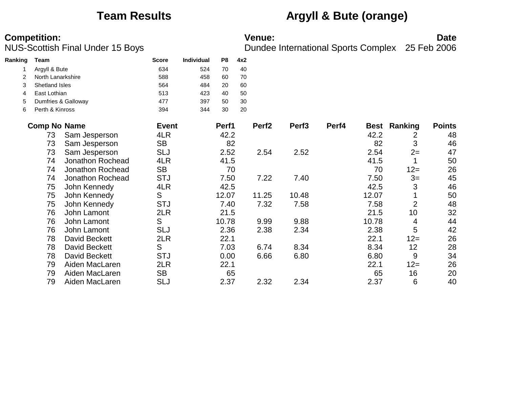**Ranking Team Score Individual P8 4x2**

### **Team Results Argyll & Bute (orange)**

|   | Argyll & Bute         |                     | 634          | 524 | 70    | 40 |                   |                   |       |       |                |               |
|---|-----------------------|---------------------|--------------|-----|-------|----|-------------------|-------------------|-------|-------|----------------|---------------|
| 2 | North Lanarkshire     |                     | 588          | 458 | 60    | 70 |                   |                   |       |       |                |               |
| 3 | <b>Shetland Isles</b> |                     | 564          | 484 | 20    | 60 |                   |                   |       |       |                |               |
| 4 | East Lothian          |                     | 513          | 423 | 40    | 50 |                   |                   |       |       |                |               |
| 5 |                       | Dumfries & Galloway | 477          | 397 | 50    | 30 |                   |                   |       |       |                |               |
| 6 | Perth & Kinross       |                     | 394          | 344 | 30    | 20 |                   |                   |       |       |                |               |
|   | <b>Comp No Name</b>   |                     | <b>Event</b> |     | Perf1 |    | Perf <sub>2</sub> | Perf <sub>3</sub> | Perf4 | Best  | Ranking        | <b>Points</b> |
|   | 73                    | Sam Jesperson       | 4LR          |     | 42.2  |    |                   |                   |       | 42.2  | 2              | 48            |
|   | 73                    | Sam Jesperson       | <b>SB</b>    |     | 82    |    |                   |                   |       | 82    | 3              | 46            |
|   | 73                    | Sam Jesperson       | <b>SLJ</b>   |     | 2.52  |    | 2.54              | 2.52              |       | 2.54  | $2=$           | 47            |
|   | 74                    | Jonathon Rochead    | 4LR          |     | 41.5  |    |                   |                   |       | 41.5  |                | 50            |
|   | 74                    | Jonathon Rochead    | <b>SB</b>    |     | 70    |    |                   |                   |       | 70    | $12 =$         | 26            |
|   | 74                    | Jonathon Rochead    | <b>STJ</b>   |     | 7.50  |    | 7.22              | 7.40              |       | 7.50  | $3=$           | 45            |
|   | 75                    | John Kennedy        | 4LR          |     | 42.5  |    |                   |                   |       | 42.5  | 3              | 46            |
|   | 75                    | John Kennedy        | S            |     | 12.07 |    | 11.25             | 10.48             |       | 12.07 |                | 50            |
|   | 75                    | John Kennedy        | <b>STJ</b>   |     | 7.40  |    | 7.32              | 7.58              |       | 7.58  | $\overline{2}$ | 48            |
|   | 76                    | John Lamont         | 2LR          |     | 21.5  |    |                   |                   |       | 21.5  | 10             | 32            |
|   | 76                    | John Lamont         | S            |     | 10.78 |    | 9.99              | 9.88              |       | 10.78 | 4              | 44            |
|   | 76                    | John Lamont         | <b>SLJ</b>   |     | 2.36  |    | 2.38              | 2.34              |       | 2.38  | 5              | 42            |
|   | 78                    | David Beckett       | 2LR          |     | 22.1  |    |                   |                   |       | 22.1  | $12 =$         | 26            |
|   | 78                    | David Beckett       | S            |     | 7.03  |    | 6.74              | 8.34              |       | 8.34  | 12             | 28            |
|   | 78                    | David Beckett       | <b>STJ</b>   |     | 0.00  |    | 6.66              | 6.80              |       | 6.80  | 9              | 34            |
|   | 79                    | Aiden MacLaren      | 2LR          |     | 22.1  |    |                   |                   |       | 22.1  | $12 =$         | 26            |
|   | 79                    | Aiden MacLaren      | <b>SB</b>    |     | 65    |    |                   |                   |       | 65    | 16             | 20            |
|   | 79                    | Aiden MacLaren      | <b>SLJ</b>   |     | 2.37  |    | 2.32              | 2.34              |       | 2.37  | 6              | 40            |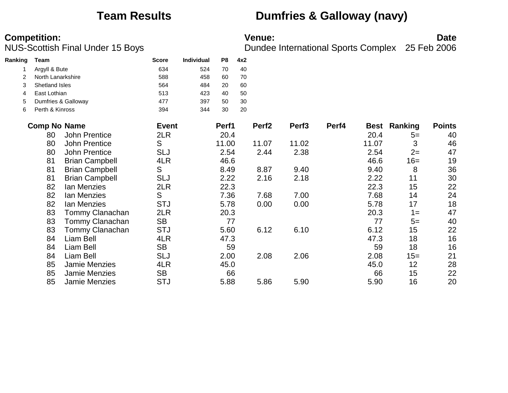### **Team Results Dumfries & Galloway (navy)**

| Ranking | <b>Team</b>           |                       | <b>Score</b> | <b>Individual</b> | P8    | 4x2 |                   |                   |       |       |                     |               |
|---------|-----------------------|-----------------------|--------------|-------------------|-------|-----|-------------------|-------------------|-------|-------|---------------------|---------------|
|         | Argyll & Bute         |                       | 634          | 524               | 70    | 40  |                   |                   |       |       |                     |               |
|         | North Lanarkshire     |                       | 588          | 458               | 60    | 70  |                   |                   |       |       |                     |               |
| 3       | <b>Shetland Isles</b> |                       | 564          | 484               | 20    | 60  |                   |                   |       |       |                     |               |
| 4       | East Lothian          |                       | 513          | 423               | 40    | 50  |                   |                   |       |       |                     |               |
| 5       |                       | Dumfries & Galloway   | 477          | 397               | 50    | 30  |                   |                   |       |       |                     |               |
| 6       | Perth & Kinross       |                       | 394          | 344               | 30    | 20  |                   |                   |       |       |                     |               |
|         | <b>Comp No Name</b>   |                       | <b>Event</b> |                   | Perf1 |     | Perf <sub>2</sub> | Perf <sub>3</sub> | Perf4 |       | <b>Best Ranking</b> | <b>Points</b> |
|         | 80                    | <b>John Prentice</b>  | 2LR          |                   | 20.4  |     |                   |                   |       | 20.4  | $5=$                | 40            |
|         | 80                    | <b>John Prentice</b>  | S            |                   | 11.00 |     | 11.07             | 11.02             |       | 11.07 | 3                   | 46            |
|         | 80                    | <b>John Prentice</b>  | <b>SLJ</b>   |                   | 2.54  |     | 2.44              | 2.38              |       | 2.54  | $2=$                | 47            |
|         | 81                    | <b>Brian Campbell</b> | 4LR          |                   | 46.6  |     |                   |                   |       | 46.6  | $16=$               | 19            |
|         | 81                    | <b>Brian Campbell</b> | S            |                   | 8.49  |     | 8.87              | 9.40              |       | 9.40  | 8                   | 36            |
|         | 81                    | <b>Brian Campbell</b> | <b>SLJ</b>   |                   | 2.22  |     | 2.16              | 2.18              |       | 2.22  | 11                  | 30            |
|         | 82                    | Ian Menzies           | 2LR          |                   | 22.3  |     |                   |                   |       | 22.3  | 15                  | 22            |
|         | 82                    | Ian Menzies           | S            |                   | 7.36  |     | 7.68              | 7.00              |       | 7.68  | 14                  | 24            |
|         | 82                    | Ian Menzies           | <b>STJ</b>   |                   | 5.78  |     | 0.00              | 0.00              |       | 5.78  | 17                  | 18            |
|         | 83                    | Tommy Clanachan       | 2LR          |                   | 20.3  |     |                   |                   |       | 20.3  | $1 =$               | 47            |
|         | 83                    | Tommy Clanachan       | <b>SB</b>    |                   | 77    |     |                   |                   |       | 77    | $5=$                | 40            |
|         | 83                    | Tommy Clanachan       | <b>STJ</b>   |                   | 5.60  |     | 6.12              | 6.10              |       | 6.12  | 15                  | 22            |
|         | 84                    | Liam Bell             | 4LR          |                   | 47.3  |     |                   |                   |       | 47.3  | 18                  | 16            |
|         | 84                    | Liam Bell             | <b>SB</b>    |                   | 59    |     |                   |                   |       | 59    | 18                  | 16            |
|         | 84                    | Liam Bell             | <b>SLJ</b>   |                   | 2.00  |     | 2.08              | 2.06              |       | 2.08  | $15=$               | 21            |
|         | 85                    | Jamie Menzies         | 4LR          |                   | 45.0  |     |                   |                   |       | 45.0  | 12                  | 28            |
|         | 85                    | Jamie Menzies         | <b>SB</b>    |                   | 66    |     |                   |                   |       | 66    | 15                  | 22            |
|         | 85                    | Jamie Menzies         | <b>STJ</b>   |                   | 5.88  |     | 5.86              | 5.90              |       | 5.90  | 16                  | 20            |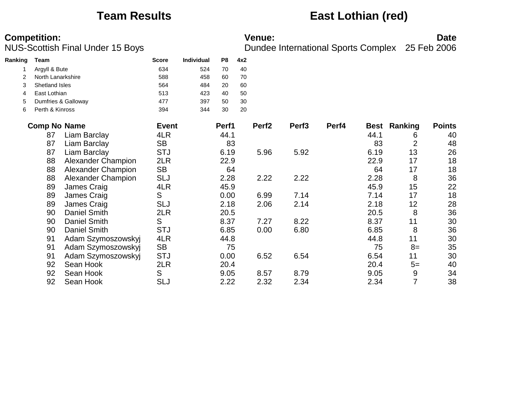### **Team Results East Lothian (red)**

| Ranking | <b>Team</b>         |                           | <b>Score</b> | Individual | P <sub>8</sub> | 4x2 |                   |                   |       |             |                |               |
|---------|---------------------|---------------------------|--------------|------------|----------------|-----|-------------------|-------------------|-------|-------------|----------------|---------------|
|         | Argyll & Bute       |                           | 634          | 524        | 70             | 40  |                   |                   |       |             |                |               |
| 2       | North Lanarkshire   |                           | 588          | 458        | 60             | 70  |                   |                   |       |             |                |               |
| 3       | Shetland Isles      |                           | 564          | 484        | 20             | 60  |                   |                   |       |             |                |               |
| 4       | East Lothian        |                           | 513          | 423        | 40             | 50  |                   |                   |       |             |                |               |
| 5       |                     | Dumfries & Galloway       | 477          | 397        | 50             | 30  |                   |                   |       |             |                |               |
| 6       | Perth & Kinross     |                           | 394          | 344        | 30             | 20  |                   |                   |       |             |                |               |
|         | <b>Comp No Name</b> |                           | <b>Event</b> |            | Perf1          |     | Perf <sub>2</sub> | Perf <sub>3</sub> | Perf4 | <b>Best</b> | Ranking        | <b>Points</b> |
|         | 87                  | Liam Barclay              | 4LR          |            | 44.1           |     |                   |                   |       | 44.1        | 6              | 40            |
|         | 87                  | Liam Barclay              | <b>SB</b>    |            | 83             |     |                   |                   |       | 83          | $\overline{2}$ | 48            |
|         | 87                  | Liam Barclay              | <b>STJ</b>   |            | 6.19           |     | 5.96              | 5.92              |       | 6.19        | 13             | 26            |
|         | 88                  | Alexander Champion        | 2LR          |            | 22.9           |     |                   |                   |       | 22.9        | 17             | 18            |
|         | 88                  | Alexander Champion        | <b>SB</b>    |            | 64             |     |                   |                   |       | 64          | 17             | 18            |
|         | 88                  | <b>Alexander Champion</b> | <b>SLJ</b>   |            | 2.28           |     | 2.22              | 2.22              |       | 2.28        | 8              | 36            |
|         | 89                  | James Craig               | 4LR          |            | 45.9           |     |                   |                   |       | 45.9        | 15             | 22            |
|         | 89                  | James Craig               | S            |            | 0.00           |     | 6.99              | 7.14              |       | 7.14        | 17             | 18            |
|         | 89                  | James Craig               | SLJ          |            | 2.18           |     | 2.06              | 2.14              |       | 2.18        | 12             | 28            |
|         | 90                  | <b>Daniel Smith</b>       | 2LR          |            | 20.5           |     |                   |                   |       | 20.5        | 8              | 36            |
|         | 90                  | <b>Daniel Smith</b>       | S            |            | 8.37           |     | 7.27              | 8.22              |       | 8.37        | 11             | 30            |
|         | 90                  | <b>Daniel Smith</b>       | <b>STJ</b>   |            | 6.85           |     | 0.00              | 6.80              |       | 6.85        | 8              | 36            |
|         | 91                  | Adam Szymoszowskyj        | 4LR          |            | 44.8           |     |                   |                   |       | 44.8        | 11             | 30            |
|         | 91                  | Adam Szymoszowskyj        | <b>SB</b>    |            | 75             |     |                   |                   |       | 75          | $8=$           | 35            |
|         | 91                  | Adam Szymoszowskyj        | <b>STJ</b>   |            | 0.00           |     | 6.52              | 6.54              |       | 6.54        | 11             | 30            |
|         | 92                  | Sean Hook                 | 2LR          |            | 20.4           |     |                   |                   |       | 20.4        | $5=$           | 40            |
|         | 92                  | Sean Hook                 | S            |            | 9.05           |     | 8.57              | 8.79              |       | 9.05        | 9              | 34            |
|         | 92                  | Sean Hook                 | SLJ          |            | 2.22           |     | 2.32              | 2.34              |       | 2.34        | 7              | 38            |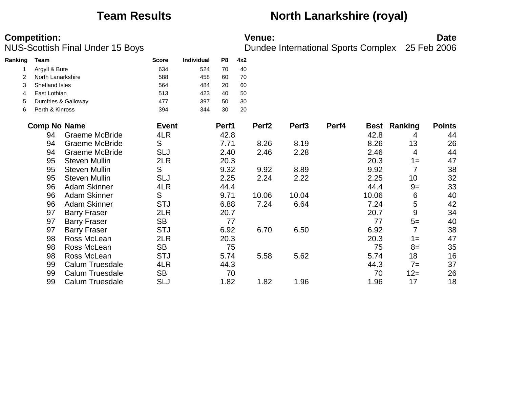### **Team Results North Lanarkshire (royal)**

| Ranking | Team                |                        | <b>Score</b> | Individual | P8    | 4x2 |                   |                   |       |       |                  |               |
|---------|---------------------|------------------------|--------------|------------|-------|-----|-------------------|-------------------|-------|-------|------------------|---------------|
|         | Argyll & Bute       |                        | 634          | 524        | 70    | 40  |                   |                   |       |       |                  |               |
| 2       | North Lanarkshire   |                        | 588          | 458        | 60    | 70  |                   |                   |       |       |                  |               |
| 3       | Shetland Isles      |                        | 564          | 484        | 20    | 60  |                   |                   |       |       |                  |               |
| 4       | East Lothian        |                        | 513          | 423        | 40    | 50  |                   |                   |       |       |                  |               |
| 5       |                     | Dumfries & Galloway    | 477          | 397        | 50    | 30  |                   |                   |       |       |                  |               |
| 6       | Perth & Kinross     |                        | 394          | 344        | 30    | 20  |                   |                   |       |       |                  |               |
|         | <b>Comp No Name</b> |                        | <b>Event</b> |            | Perf1 |     | Perf <sub>2</sub> | Perf <sub>3</sub> | Perf4 | Best  | Ranking          | <b>Points</b> |
|         | 94                  | <b>Graeme McBride</b>  | 4LR          |            | 42.8  |     |                   |                   |       | 42.8  | 4                | 44            |
|         | 94                  | <b>Graeme McBride</b>  | S            |            | 7.71  |     | 8.26              | 8.19              |       | 8.26  | 13               | 26            |
|         | 94                  | <b>Graeme McBride</b>  | SLJ          |            | 2.40  |     | 2.46              | 2.28              |       | 2.46  | 4                | 44            |
|         | 95                  | <b>Steven Mullin</b>   | 2LR          |            | 20.3  |     |                   |                   |       | 20.3  | $1 =$            | 47            |
|         | 95                  | <b>Steven Mullin</b>   | S            |            | 9.32  |     | 9.92              | 8.89              |       | 9.92  |                  | 38            |
|         | 95                  | <b>Steven Mullin</b>   | <b>SLJ</b>   |            | 2.25  |     | 2.24              | 2.22              |       | 2.25  | 10               | 32            |
|         | 96                  | <b>Adam Skinner</b>    | 4LR          |            | 44.4  |     |                   |                   |       | 44.4  | $9=$             | 33            |
|         | 96                  | <b>Adam Skinner</b>    | S            |            | 9.71  |     | 10.06             | 10.04             |       | 10.06 | 6                | 40            |
|         | 96                  | <b>Adam Skinner</b>    | <b>STJ</b>   |            | 6.88  |     | 7.24              | 6.64              |       | 7.24  | 5                | 42            |
|         | 97                  | <b>Barry Fraser</b>    | 2LR          |            | 20.7  |     |                   |                   |       | 20.7  | $\boldsymbol{9}$ | 34            |
|         | 97                  | <b>Barry Fraser</b>    | <b>SB</b>    |            | 77    |     |                   |                   |       | 77    | $5=$             | 40            |
|         | 97                  | <b>Barry Fraser</b>    | <b>STJ</b>   |            | 6.92  |     | 6.70              | 6.50              |       | 6.92  |                  | 38            |
|         | 98                  | Ross McLean            | 2LR          |            | 20.3  |     |                   |                   |       | 20.3  | $1 =$            | 47            |
|         | 98                  | Ross McLean            | <b>SB</b>    |            | 75    |     |                   |                   |       | 75    | $8=$             | 35            |
|         | 98                  | Ross McLean            | <b>STJ</b>   |            | 5.74  |     | 5.58              | 5.62              |       | 5.74  | 18               | 16            |
|         | 99                  | <b>Calum Truesdale</b> | 4LR          |            | 44.3  |     |                   |                   |       | 44.3  | $7=$             | 37            |
|         | 99                  | <b>Calum Truesdale</b> | <b>SB</b>    |            | 70    |     |                   |                   |       | 70    | $12 =$           | 26            |
|         | 99                  | <b>Calum Truesdale</b> | <b>SLJ</b>   |            | 1.82  |     | 1.82              | 1.96              |       | 1.96  | 17               | 18            |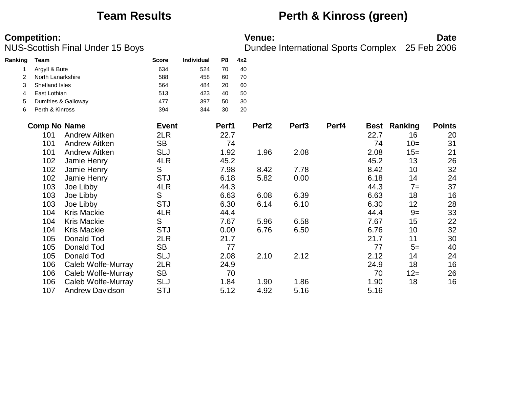### **Team Results <b>Perth & Kinross (green)**

| Ranking | Team                |                        | <b>Score</b> | Individual | P <sub>8</sub> | 4x2 |                   |                   |       |             |         |               |
|---------|---------------------|------------------------|--------------|------------|----------------|-----|-------------------|-------------------|-------|-------------|---------|---------------|
|         | Argyll & Bute       |                        | 634          | 524        | 70             | 40  |                   |                   |       |             |         |               |
| 2       | North Lanarkshire   |                        | 588          | 458        | 60             | 70  |                   |                   |       |             |         |               |
| 3       | Shetland Isles      |                        | 564          | 484        | 20             | 60  |                   |                   |       |             |         |               |
| 4       | East Lothian        |                        | 513          | 423        | 40             | 50  |                   |                   |       |             |         |               |
| 5       |                     | Dumfries & Galloway    | 477          | 397        | 50             | 30  |                   |                   |       |             |         |               |
| 6       | Perth & Kinross     |                        | 394          | 344        | 30             | 20  |                   |                   |       |             |         |               |
|         | <b>Comp No Name</b> |                        | <b>Event</b> |            | Perf1          |     | Perf <sub>2</sub> | Perf <sub>3</sub> | Perf4 | <b>Best</b> | Ranking | <b>Points</b> |
|         | 101                 | <b>Andrew Aitken</b>   | 2LR          |            | 22.7           |     |                   |                   |       | 22.7        | 16      | 20            |
|         | 101                 | <b>Andrew Aitken</b>   | <b>SB</b>    |            | 74             |     |                   |                   |       | 74          | $10=$   | 31            |
|         | 101                 | Andrew Aitken          | <b>SLJ</b>   |            | 1.92           |     | 1.96              | 2.08              |       | 2.08        | $15=$   | 21            |
|         | 102                 | Jamie Henry            | 4LR          |            | 45.2           |     |                   |                   |       | 45.2        | 13      | 26            |
|         | 102                 | Jamie Henry            | S            |            | 7.98           |     | 8.42              | 7.78              |       | 8.42        | 10      | 32            |
|         | 102                 | Jamie Henry            | <b>STJ</b>   |            | 6.18           |     | 5.82              | 0.00              |       | 6.18        | 14      | 24            |
|         | 103                 | Joe Libby              | 4LR          |            | 44.3           |     |                   |                   |       | 44.3        | $7=$    | 37            |
|         | 103                 | Joe Libby              | S            |            | 6.63           |     | 6.08              | 6.39              |       | 6.63        | 18      | 16            |
|         | 103                 | Joe Libby              | <b>STJ</b>   |            | 6.30           |     | 6.14              | 6.10              |       | 6.30        | 12      | 28            |
|         | 104                 | <b>Kris Mackie</b>     | 4LR          |            | 44.4           |     |                   |                   |       | 44.4        | $9=$    | 33            |
|         | 104                 | <b>Kris Mackie</b>     | S            |            | 7.67           |     | 5.96              | 6.58              |       | 7.67        | 15      | 22            |
|         | 104                 | <b>Kris Mackie</b>     | <b>STJ</b>   |            | 0.00           |     | 6.76              | 6.50              |       | 6.76        | 10      | 32            |
|         | 105                 | Donald Tod             | 2LR          |            | 21.7           |     |                   |                   |       | 21.7        | 11      | 30            |
|         | 105                 | Donald Tod             | <b>SB</b>    |            | 77             |     |                   |                   |       | 77          | $5=$    | 40            |
|         | 105                 | Donald Tod             | <b>SLJ</b>   |            | 2.08           |     | 2.10              | 2.12              |       | 2.12        | 14      | 24            |
|         | 106                 | Caleb Wolfe-Murray     | 2LR          |            | 24.9           |     |                   |                   |       | 24.9        | 18      | 16            |
|         | 106                 | Caleb Wolfe-Murray     | <b>SB</b>    |            | 70             |     |                   |                   |       | 70          | $12 =$  | 26            |
|         | 106                 | Caleb Wolfe-Murray     | <b>SLJ</b>   |            | 1.84           |     | 1.90              | 1.86              |       | 1.90        | 18      | 16            |
|         | 107                 | <b>Andrew Davidson</b> | <b>STJ</b>   |            | 5.12           |     | 4.92              | 5.16              |       | 5.16        |         |               |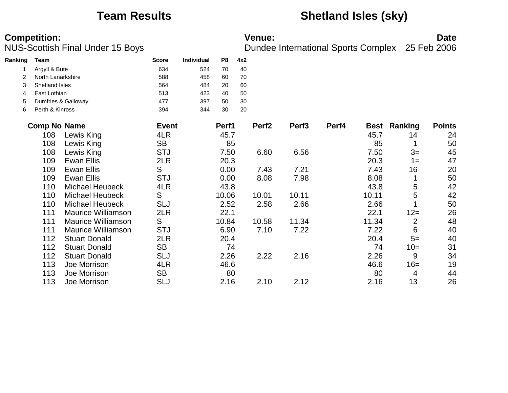### **Team Results Shetland Isles (sky)**

| Ranking | <b>Team</b>         |                           | <b>Score</b> | Individual | P <sub>8</sub> | 4x2 |                   |                   |       |             |                |               |
|---------|---------------------|---------------------------|--------------|------------|----------------|-----|-------------------|-------------------|-------|-------------|----------------|---------------|
|         | Argyll & Bute       |                           | 634          | 524        | 70             | 40  |                   |                   |       |             |                |               |
| 2       | North Lanarkshire   |                           | 588          | 458        | 60             | 70  |                   |                   |       |             |                |               |
| 3       | Shetland Isles      |                           | 564          | 484        | 20             | 60  |                   |                   |       |             |                |               |
| 4       | East Lothian        |                           | 513          | 423        | 40             | 50  |                   |                   |       |             |                |               |
| 5       |                     | Dumfries & Galloway       | 477          | 397        | 50             | 30  |                   |                   |       |             |                |               |
| 6       | Perth & Kinross     |                           | 394          | 344        | 30             | 20  |                   |                   |       |             |                |               |
|         | <b>Comp No Name</b> |                           | <b>Event</b> |            | Perf1          |     | Perf <sub>2</sub> | Perf <sub>3</sub> | Perf4 | <b>Best</b> | Ranking        | <b>Points</b> |
|         | 108                 | Lewis King                | 4LR          |            | 45.7           |     |                   |                   |       | 45.7        | 14             | 24            |
|         | 108                 | Lewis King                | <b>SB</b>    |            | 85             |     |                   |                   |       | 85          |                | 50            |
|         | 108                 | Lewis King                | <b>STJ</b>   |            | 7.50           |     | 6.60              | 6.56              |       | 7.50        | $3=$           | 45            |
|         | 109                 | <b>Ewan Ellis</b>         | 2LR          |            | 20.3           |     |                   |                   |       | 20.3        | $1 =$          | 47            |
|         | 109                 | <b>Ewan Ellis</b>         | S            |            | 0.00           |     | 7.43              | 7.21              |       | 7.43        | 16             | 20            |
|         | 109                 | <b>Ewan Ellis</b>         | <b>STJ</b>   |            | 0.00           |     | 8.08              | 7.98              |       | 8.08        |                | 50            |
|         | 110                 | <b>Michael Heubeck</b>    | 4LR          |            | 43.8           |     |                   |                   |       | 43.8        | 5              | 42            |
|         | 110                 | <b>Michael Heubeck</b>    | S            |            | 10.06          |     | 10.01             | 10.11             |       | 10.11       | 5              | 42            |
|         | 110                 | <b>Michael Heubeck</b>    | <b>SLJ</b>   |            | 2.52           |     | 2.58              | 2.66              |       | 2.66        |                | 50            |
|         | 111                 | <b>Maurice Williamson</b> | 2LR          |            | 22.1           |     |                   |                   |       | 22.1        | $12 =$         | 26            |
|         | 111                 | <b>Maurice Williamson</b> | S            |            | 10.84          |     | 10.58             | 11.34             |       | 11.34       | $\overline{2}$ | 48            |
|         | 111                 | <b>Maurice Williamson</b> | <b>STJ</b>   |            | 6.90           |     | 7.10              | 7.22              |       | 7.22        | 6              | 40            |
|         | 112                 | <b>Stuart Donald</b>      | 2LR          |            | 20.4           |     |                   |                   |       | 20.4        | $5=$           | 40            |
|         | 112                 | <b>Stuart Donald</b>      | <b>SB</b>    |            | 74             |     |                   |                   |       | 74          | $10=$          | 31            |
|         | 112                 | <b>Stuart Donald</b>      | <b>SLJ</b>   |            | 2.26           |     | 2.22              | 2.16              |       | 2.26        | 9              | 34            |
|         | 113                 | Joe Morrison              | 4LR          |            | 46.6           |     |                   |                   |       | 46.6        | $16=$          | 19            |
|         | 113                 | Joe Morrison              | <b>SB</b>    |            | 80             |     |                   |                   |       | 80          | 4              | 44            |
|         | 113                 | Joe Morrison              | <b>SLJ</b>   |            | 2.16           |     | 2.10              | 2.12              |       | 2.16        | 13             | 26            |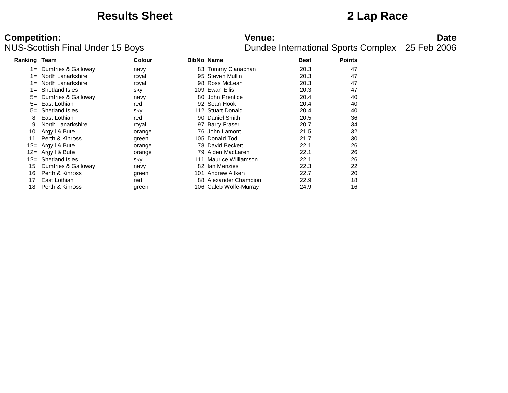### **Results Sheet 2 Lap Race**

# **Competition:**<br>**Date**<br>Dundee International Sports Complex 25 Feb 2006<br>Dundee International Sports Complex 25 Feb 2006

| <b>Ranking Team</b> |                       | <b>Colour</b> | <b>BibNo Name</b> |                        | <b>Best</b> | <b>Points</b> |
|---------------------|-----------------------|---------------|-------------------|------------------------|-------------|---------------|
| $1 =$               | Dumfries & Galloway   | navy          |                   | 83 Tommy Clanachan     | 20.3        | 47            |
| $1 =$               | North Lanarkshire     | royal         |                   | 95 Steven Mullin       | 20.3        | 47            |
| $1 =$               | North Lanarkshire     | royal         |                   | 98 Ross McLean         | 20.3        | 47            |
| $1 =$               | <b>Shetland Isles</b> | sky           | 109               | Ewan Ellis             | 20.3        | 47            |
| $5=$                | Dumfries & Galloway   | navy          | 80                | John Prentice          | 20.4        | 40            |
| $5=$                | East Lothian          | red           |                   | 92 Sean Hook           | 20.4        | 40            |
| $5=$                | <b>Shetland Isles</b> | sky           |                   | 112 Stuart Donald      | 20.4        | 40            |
| 8                   | East Lothian          | red           |                   | 90 Daniel Smith        | 20.5        | 36            |
| 9                   | North Lanarkshire     | royal         |                   | 97 Barry Fraser        | 20.7        | 34            |
| 10                  | Argyll & Bute         | orange        |                   | 76 John Lamont         | 21.5        | 32            |
| 11                  | Perth & Kinross       | green         |                   | 105 Donald Tod         | 21.7        | 30            |
|                     | 12= Argyll & Bute     | orange        |                   | 78 David Beckett       | 22.1        | 26            |
|                     | 12= Argyll & Bute     | orange        |                   | 79 Aiden MacLaren      | 22.1        | 26            |
| $12 =$              | <b>Shetland Isles</b> | sky           |                   | 111 Maurice Williamson | 22.1        | 26            |
| 15                  | Dumfries & Galloway   | navy          |                   | 82 Ian Menzies         | 22.3        | 22            |
| 16                  | Perth & Kinross       | green         | 101.              | Andrew Aitken          | 22.7        | 20            |
| 17                  | East Lothian          | red           |                   | 88 Alexander Champion  | 22.9        | 18            |
| 18                  | Perth & Kinross       | green         |                   | 106 Caleb Wolfe-Murray | 24.9        | 16            |
|                     |                       |               |                   |                        |             |               |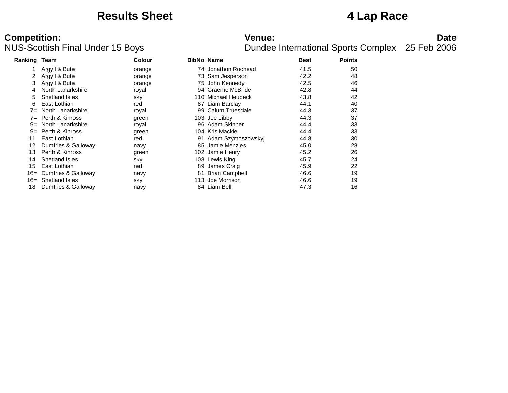### **Results Sheet 4 Lap Race**

# **Competition:**<br>**Date**<br>Dundee International Sports Complex 25 Feb 2006<br>Dundee International Sports Complex 25 Feb 2006

| Ranking | Team                  | <b>Colour</b> |     | <b>BibNo Name</b>     | <b>Best</b> | <b>Points</b> |  |
|---------|-----------------------|---------------|-----|-----------------------|-------------|---------------|--|
|         | Argyll & Bute         | orange        |     | 74 Jonathon Rochead   | 41.5        | 50            |  |
| 2       | Argyll & Bute         | orange        |     | 73 Sam Jesperson      | 42.2        | 48            |  |
| 3       | Argyll & Bute         | orange        |     | 75 John Kennedy       | 42.5        | 46            |  |
|         | North Lanarkshire     | royal         | 94  | Graeme McBride        | 42.8        | 44            |  |
| 5       | Shetland Isles        | sky           | 110 | Michael Heubeck       | 43.8        | 42            |  |
| 6       | East Lothian          | red           |     | 87 Liam Barclay       | 44.1        | 40            |  |
| $7 =$   | North Lanarkshire     | royal         | 99  | Calum Truesdale       | 44.3        | 37            |  |
| $7 =$   | Perth & Kinross       | green         |     | 103 Joe Libby         | 44.3        | 37            |  |
| $9=$    | North Lanarkshire     | royal         |     | 96 Adam Skinner       | 44.4        | 33            |  |
| $9=$    | Perth & Kinross       | green         |     | 104 Kris Mackie       | 44.4        | 33            |  |
| 11      | East Lothian          | red           |     | 91 Adam Szymoszowskyj | 44.8        | 30            |  |
| 12      | Dumfries & Galloway   | navy          | 85  | Jamie Menzies         | 45.0        | 28            |  |
| 13      | Perth & Kinross       | green         |     | 102 Jamie Henry       | 45.2        | 26            |  |
| 14      | Shetland Isles        | sky           |     | 108 Lewis King        | 45.7        | 24            |  |
| 15      | East Lothian          | red           | 89  | James Craig           | 45.9        | 22            |  |
| 16=     | Dumfries & Galloway   | navy          | 81  | <b>Brian Campbell</b> | 46.6        | 19            |  |
| 16=     | <b>Shetland Isles</b> | sky           | 113 | Joe Morrison          | 46.6        | 19            |  |
| 18      | Dumfries & Galloway   | navy          |     | 84 Liam Bell          | 47.3        | 16            |  |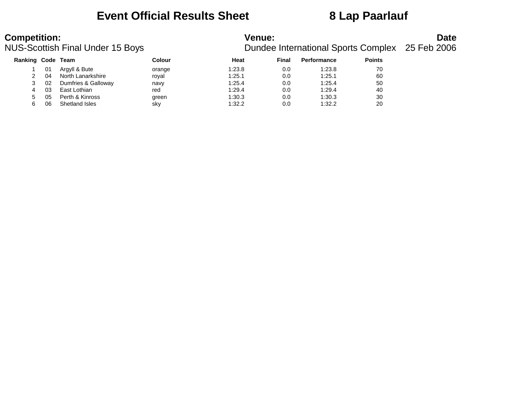### **Event Official Results Sheet 8 Lap Paarlauf**

| <b>Competition:</b> |    | <b>NUS-Scottish Final Under 15 Boys</b> |        | <b>Venue:</b> | <b>Date</b><br>Dundee International Sports Complex 25 Feb 2006 |                    |               |  |
|---------------------|----|-----------------------------------------|--------|---------------|----------------------------------------------------------------|--------------------|---------------|--|
| Ranking Code Team   |    |                                         | Colour | Heat          | Final                                                          | <b>Performance</b> | <b>Points</b> |  |
|                     | 01 | Argyll & Bute                           | orange | 1:23.8        | 0.0                                                            | 1:23.8             | 70            |  |
|                     | 04 | North Lanarkshire                       | roval  | 1:25.1        | 0.0                                                            | 1:25.1             | 60            |  |
|                     | 02 | Dumfries & Galloway                     | navy   | 1:25.4        | 0.0                                                            | 1:25.4             | 50            |  |
| 4                   | 03 | East Lothian                            | red    | 1:29.4        | 0.0                                                            | 1:29.4             | 40            |  |
|                     | 05 | Perth & Kinross                         | green  | 1:30.3        | 0.0                                                            | 1:30.3             | 30            |  |
|                     | 06 | Shetland Isles                          | sky    | 1:32.2        | 0.0                                                            | 1:32.2             | 20            |  |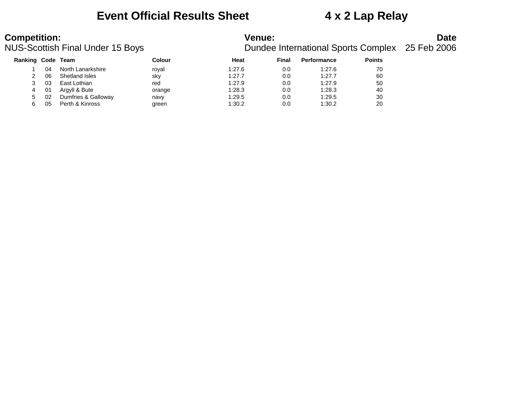### **Event Official Results Sheet 4 x 2 Lap Relay**

### **Competition:**<br>**Date**<br>Dundee International Sports Complex 25 Feb 2006<br>Dundee International Sports Complex 25 Feb 2006 **Ranking Code Team**

|    |    | ıq Code Team        | <b>Colour</b> | Heat   | Final | <b>Performance</b> | <b>Points</b> |
|----|----|---------------------|---------------|--------|-------|--------------------|---------------|
|    | 04 | North Lanarkshire   | roval         | 1:27.6 | 0.0   | 1:27.6             | 70            |
|    | 06 | Shetland Isles      | sky           | 1:27.7 | 0.0   | 1:27.7             | 60            |
|    | 03 | East Lothian        | red           | 1:27.9 | 0.0   | 1:27.9             | 50            |
| 4  | 01 | Argyll & Bute       | orange        | 1:28.3 | 0.0   | 1:28.3             | 40            |
| 5. | 02 | Dumfries & Galloway | navy          | 1:29.5 | 0.0   | 1:29.5             | 30            |
| 6  | 05 | Perth & Kinross     | green         | 1:30.2 | 0.0   | 1:30.2             | 20            |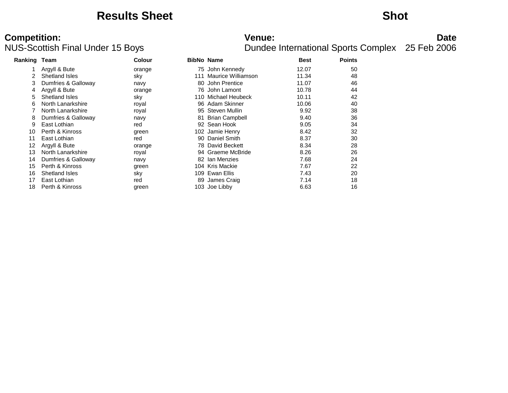### **Results Sheet Shot**

# **Competition:**<br>**Date**<br>Dundee International Sports Complex 25 Feb 2006<br>Dundee International Sports Complex 25 Feb 2006

| Ranking Team |                       | <b>Colour</b> |     | <b>BibNo Name</b>   | <b>Best</b> | <b>Points</b> |  |
|--------------|-----------------------|---------------|-----|---------------------|-------------|---------------|--|
|              | Argyll & Bute         | orange        |     | 75 John Kennedy     | 12.07       | 50            |  |
|              | Shetland Isles        | sky           | 111 | Maurice Williamson  | 11.34       | 48            |  |
|              | Dumfries & Galloway   | navy          |     | 80 John Prentice    | 11.07       | 46            |  |
| 4            | Argyll & Bute         | orange        |     | 76 John Lamont      | 10.78       | 44            |  |
| 5.           | Shetland Isles        | sky           |     | 110 Michael Heubeck | 10.11       | 42            |  |
| 6            | North Lanarkshire     | royal         |     | 96 Adam Skinner     | 10.06       | 40            |  |
|              | North Lanarkshire     | royal         |     | 95 Steven Mullin    | 9.92        | 38            |  |
| 8            | Dumfries & Galloway   | navy          |     | 81 Brian Campbell   | 9.40        | 36            |  |
| 9            | East Lothian          | red           |     | 92 Sean Hook        | 9.05        | 34            |  |
| 10           | Perth & Kinross       | green         |     | 102 Jamie Henry     | 8.42        | 32            |  |
| 11           | East Lothian          | red           |     | 90 Daniel Smith     | 8.37        | 30            |  |
| 12           | Argyll & Bute         | orange        |     | 78 David Beckett    | 8.34        | 28            |  |
| 13           | North Lanarkshire     | royal         |     | 94 Graeme McBride   | 8.26        | 26            |  |
| 14           | Dumfries & Galloway   | navy          |     | 82 Ian Menzies      | 7.68        | 24            |  |
| 15           | Perth & Kinross       | green         |     | 104 Kris Mackie     | 7.67        | 22            |  |
| 16           | <b>Shetland Isles</b> | sky           |     | 109 Ewan Ellis      | 7.43        | 20            |  |
| 17           | East Lothian          | red           |     | 89 James Craig      | 7.14        | 18            |  |
| 18           | Perth & Kinross       | green         |     | 103 Joe Libby       | 6.63        | 16            |  |
|              |                       |               |     |                     |             |               |  |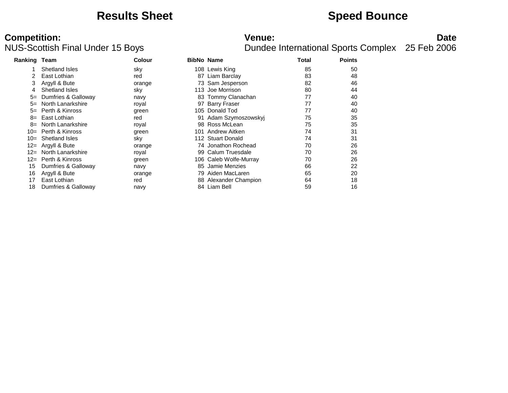### **Results Sheet Speed Bounce**

# **Competition:**<br>**Date**<br>Dundee International Sports Complex 25 Feb 2006<br>Dundee International Sports Complex 25 Feb 2006

| <b>Ranking Team</b>   | Colour        |    |               | Total                                                                                                                                                                                                                                                                                                                                                                     | <b>Points</b> |  |
|-----------------------|---------------|----|---------------|---------------------------------------------------------------------------------------------------------------------------------------------------------------------------------------------------------------------------------------------------------------------------------------------------------------------------------------------------------------------------|---------------|--|
| Shetland Isles        | sky           |    |               | 85                                                                                                                                                                                                                                                                                                                                                                        | 50            |  |
| East Lothian          | red           |    |               | 83                                                                                                                                                                                                                                                                                                                                                                        | 48            |  |
| Argyll & Bute         | orange        |    |               | 82                                                                                                                                                                                                                                                                                                                                                                        | 46            |  |
| Shetland Isles        | sky           |    | Joe Morrison  | 80                                                                                                                                                                                                                                                                                                                                                                        | 44            |  |
| Dumfries & Galloway   | navy          |    |               | 77                                                                                                                                                                                                                                                                                                                                                                        | 40            |  |
| North Lanarkshire     | royal         |    |               | 77                                                                                                                                                                                                                                                                                                                                                                        | 40            |  |
| Perth & Kinross       | green         |    |               | 77                                                                                                                                                                                                                                                                                                                                                                        | 40            |  |
| 8= East Lothian       | red           |    |               | 75                                                                                                                                                                                                                                                                                                                                                                        | 35            |  |
| North Lanarkshire     | royal         |    |               | 75                                                                                                                                                                                                                                                                                                                                                                        | 35            |  |
| Perth & Kinross       | green         |    |               | 74                                                                                                                                                                                                                                                                                                                                                                        | 31            |  |
| Shetland Isles        | sky           |    |               | 74                                                                                                                                                                                                                                                                                                                                                                        | 31            |  |
| 12= Argyll & Bute     | orange        |    |               | 70                                                                                                                                                                                                                                                                                                                                                                        | 26            |  |
| 12= North Lanarkshire | royal         |    |               | 70                                                                                                                                                                                                                                                                                                                                                                        | 26            |  |
| 12= Perth & Kinross   | green         |    |               | 70                                                                                                                                                                                                                                                                                                                                                                        | 26            |  |
| Dumfries & Galloway   | navy          | 85 | Jamie Menzies | 66                                                                                                                                                                                                                                                                                                                                                                        | 22            |  |
|                       | orange        |    |               | 65                                                                                                                                                                                                                                                                                                                                                                        | 20            |  |
| East Lothian          | red           |    |               | 64                                                                                                                                                                                                                                                                                                                                                                        | 18            |  |
| Dumfries & Galloway   | navy          |    |               | 59                                                                                                                                                                                                                                                                                                                                                                        | 16            |  |
|                       | Argyll & Bute |    |               | <b>BibNo Name</b><br>108 Lewis King<br>Liam Barclay<br>87<br>73 Sam Jesperson<br>113<br>83 Tommy Clanachan<br>97 Barry Fraser<br>105 Donald Tod<br>91 Adam Szymoszowskyj<br>98 Ross McLean<br>101 Andrew Aitken<br>112 Stuart Donald<br>74 Jonathon Rochead<br>99 Calum Truesdale<br>106 Caleb Wolfe-Murray<br>79 Aiden MacLaren<br>88 Alexander Champion<br>84 Liam Bell |               |  |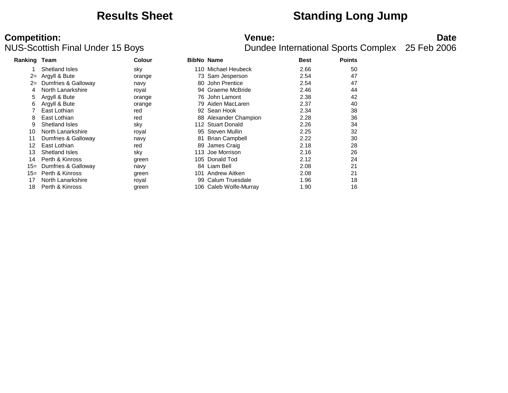### **Results Sheet Standing Long Jump**

## **Competition:**<br>**Date**<br>Dundee International Sports Complex 25 Feb 2006<br>Dundee International Sports Complex 25 Feb 2006

| Ranking Team |                       | <b>Colour</b> |     | <b>BibNo Name</b>      | <b>Best</b> | <b>Points</b> |
|--------------|-----------------------|---------------|-----|------------------------|-------------|---------------|
|              | Shetland Isles        | sky           |     | 110 Michael Heubeck    | 2.66        | 50            |
| $2 =$        | Argyll & Bute         | orange        |     | 73 Sam Jesperson       | 2.54        | 47            |
| $2 =$        | Dumfries & Galloway   | navy          |     | 80 John Prentice       | 2.54        | 47            |
| 4            | North Lanarkshire     | royal         |     | 94 Graeme McBride      | 2.46        | 44            |
|              | Argyll & Bute         | orange        |     | 76 John Lamont         | 2.38        | 42            |
| 6            | Argyll & Bute         | orange        |     | 79 Aiden MacLaren      | 2.37        | 40            |
|              | East Lothian          | red           |     | 92 Sean Hook           | 2.34        | 38            |
| 8            | East Lothian          | red           |     | 88 Alexander Champion  | 2.28        | 36            |
| 9            | <b>Shetland Isles</b> | sky           |     | 112 Stuart Donald      | 2.26        | 34            |
| 10           | North Lanarkshire     | royal         |     | 95 Steven Mullin       | 2.25        | 32            |
| 11           | Dumfries & Galloway   | navy          |     | 81 Brian Campbell      | 2.22        | 30            |
| 12           | East Lothian          | red           |     | 89 James Craig         | 2.18        | 28            |
| 13           | <b>Shetland Isles</b> | sky           |     | 113 Joe Morrison       | 2.16        | 26            |
| 14           | Perth & Kinross       | green         |     | 105 Donald Tod         | 2.12        | 24            |
| $15=$        | Dumfries & Galloway   | navy          |     | 84 Liam Bell           | 2.08        | 21            |
| $15=$        | Perth & Kinross       | green         | 101 | Andrew Aitken          | 2.08        | 21            |
| 17           | North Lanarkshire     | royal         |     | 99 Calum Truesdale     | 1.96        | 18            |
| 18           | Perth & Kinross       | green         |     | 106 Caleb Wolfe-Murray | 1.90        | 16            |
|              |                       |               |     |                        |             |               |